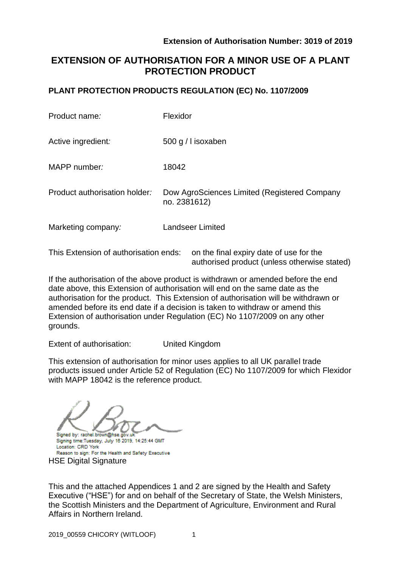# **EXTENSION OF AUTHORISATION FOR A MINOR USE OF A PLANT PROTECTION PRODUCT**

# **PLANT PROTECTION PRODUCTS REGULATION (EC) No. 1107/2009**

| Product name:                 | Flexidor                                                     |
|-------------------------------|--------------------------------------------------------------|
| Active ingredient:            | 500 g / I isoxaben                                           |
| MAPP number:                  | 18042                                                        |
| Product authorisation holder: | Dow AgroSciences Limited (Registered Company<br>no. 2381612) |
| Marketing company:            | <b>Landseer Limited</b>                                      |
|                               |                                                              |

This Extension of authorisation ends: on the final expiry date of use for the authorised product (unless otherwise stated)

If the authorisation of the above product is withdrawn or amended before the end date above, this Extension of authorisation will end on the same date as the authorisation for the product. This Extension of authorisation will be withdrawn or amended before its end date if a decision is taken to withdraw or amend this Extension of authorisation under Regulation (EC) No 1107/2009 on any other grounds.

Extent of authorisation: United Kingdom

This extension of authorisation for minor uses applies to all UK parallel trade products issued under Article 52 of Regulation (EC) No 1107/2009 for which Flexidor with MAPP 18042 is the reference product.

Signed by: rachel.brown@hse.gov.u

Signing time:Tuesday, July 16 2019, 14:25:44 GMT Location: CRD York Reason to sign: For the Health and Safety Executive **HSE Digital Signature** 

This and the attached Appendices 1 and 2 are signed by the Health and Safety Executive ("HSE") for and on behalf of the Secretary of State, the Welsh Ministers, the Scottish Ministers and the Department of Agriculture, Environment and Rural Affairs in Northern Ireland.

2019 00559 CHICORY (WITLOOF) 1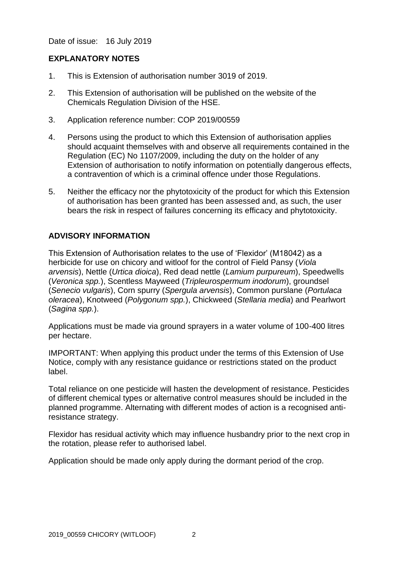Date of issue: 16 July 2019

### **EXPLANATORY NOTES**

- 1. This is Extension of authorisation number 3019 of 2019.
- 2. This Extension of authorisation will be published on the website of the Chemicals Regulation Division of the HSE.
- 3. Application reference number: COP 2019/00559
- 4. Persons using the product to which this Extension of authorisation applies should acquaint themselves with and observe all requirements contained in the Regulation (EC) No 1107/2009, including the duty on the holder of any Extension of authorisation to notify information on potentially dangerous effects, a contravention of which is a criminal offence under those Regulations.
- 5. Neither the efficacy nor the phytotoxicity of the product for which this Extension of authorisation has been granted has been assessed and, as such, the user bears the risk in respect of failures concerning its efficacy and phytotoxicity.

# **ADVISORY INFORMATION**

This Extension of Authorisation relates to the use of 'Flexidor' (M18042) as a herbicide for use on chicory and witloof for the control of Field Pansy (*Viola arvensis*), Nettle (*Urtica dioica*), Red dead nettle (*Lamium purpureum*), Speedwells (*Veronica spp.*), Scentless Mayweed (*Tripleurospermum inodorum*), groundsel (*Senecio vulgaris*), Corn spurry (*Spergula arvensis*), Common purslane (*Portulaca oleracea*), Knotweed (*Polygonum spp.*), Chickweed (*Stellaria media*) and Pearlwort (*Sagina spp.*).

Applications must be made via ground sprayers in a water volume of 100-400 litres per hectare.

IMPORTANT: When applying this product under the terms of this Extension of Use Notice, comply with any resistance guidance or restrictions stated on the product label.

Total reliance on one pesticide will hasten the development of resistance. Pesticides of different chemical types or alternative control measures should be included in the planned programme. Alternating with different modes of action is a recognised antiresistance strategy.

Flexidor has residual activity which may influence husbandry prior to the next crop in the rotation, please refer to authorised label.

Application should be made only apply during the dormant period of the crop.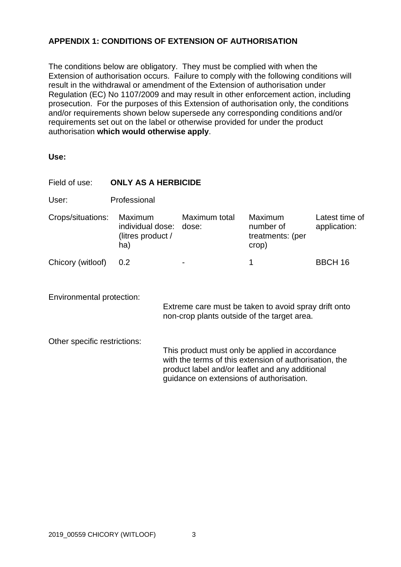# **APPENDIX 1: CONDITIONS OF EXTENSION OF AUTHORISATION**

The conditions below are obligatory. They must be complied with when the Extension of authorisation occurs. Failure to comply with the following conditions will result in the withdrawal or amendment of the Extension of authorisation under Regulation (EC) No 1107/2009 and may result in other enforcement action, including prosecution. For the purposes of this Extension of authorisation only, the conditions and/or requirements shown below supersede any corresponding conditions and/or requirements set out on the label or otherwise provided for under the product authorisation **which would otherwise apply**.

| ×<br>۰.<br>×<br>w<br>۰.<br>M.<br>۰.<br>w<br>۰. |
|------------------------------------------------|
|------------------------------------------------|

| Field of use:                | <b>ONLY AS A HERBICIDE</b>                                           |                                                                                                                                                                                                          |               |                                                          |                                |  |  |
|------------------------------|----------------------------------------------------------------------|----------------------------------------------------------------------------------------------------------------------------------------------------------------------------------------------------------|---------------|----------------------------------------------------------|--------------------------------|--|--|
| User:                        | Professional                                                         |                                                                                                                                                                                                          |               |                                                          |                                |  |  |
| Crops/situations:            | <b>Maximum</b><br>individual dose: dose:<br>(litres product /<br>ha) |                                                                                                                                                                                                          | Maximum total | <b>Maximum</b><br>number of<br>treatments: (per<br>crop) | Latest time of<br>application: |  |  |
| Chicory (witloof)            | 0.2                                                                  |                                                                                                                                                                                                          |               | 1                                                        | <b>BBCH 16</b>                 |  |  |
| Environmental protection:    |                                                                      | Extreme care must be taken to avoid spray drift onto<br>non-crop plants outside of the target area.                                                                                                      |               |                                                          |                                |  |  |
| Other specific restrictions: |                                                                      | This product must only be applied in accordance<br>with the terms of this extension of authorisation, the<br>product label and/or leaflet and any additional<br>guidance on extensions of authorisation. |               |                                                          |                                |  |  |